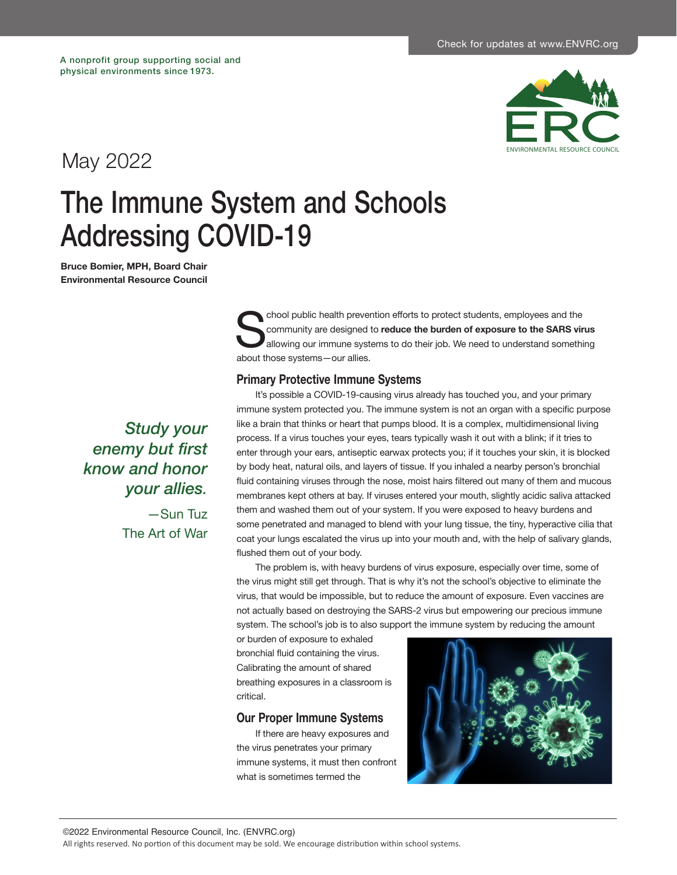

## May 2022

# The Immune System and Schools Addressing COVID-19

**Bruce Bomier, MPH, Board Chair Environmental Resource Council**

> *Study your enemy but first know and honor your allies.* —Sun Tuz The Art of War

chool public health prevention efforts to protect students, employees and the community are designed to reduce the burden of exposure to the SARS virallowing our immune systems to do their job. We need to understand someth community are designed to **reduce the burden of exposure to the SARS virus** allowing our immune systems to do their job. We need to understand something about those systems—our allies.

#### **Primary Protective Immune Systems**

It's possible a COVID-19-causing virus already has touched you, and your primary immune system protected you. The immune system is not an organ with a specific purpose like a brain that thinks or heart that pumps blood. It is a complex, multidimensional living process. If a virus touches your eyes, tears typically wash it out with a blink; if it tries to enter through your ears, antiseptic earwax protects you; if it touches your skin, it is blocked by body heat, natural oils, and layers of tissue. If you inhaled a nearby person's bronchial fluid containing viruses through the nose, moist hairs filtered out many of them and mucous membranes kept others at bay. If viruses entered your mouth, slightly acidic saliva attacked them and washed them out of your system. If you were exposed to heavy burdens and some penetrated and managed to blend with your lung tissue, the tiny, hyperactive cilia that coat your lungs escalated the virus up into your mouth and, with the help of salivary glands, flushed them out of your body.

The problem is, with heavy burdens of virus exposure, especially over time, some of the virus might still get through. That is why it's not the school's objective to eliminate the virus, that would be impossible, but to reduce the amount of exposure. Even vaccines are not actually based on destroying the SARS-2 virus but empowering our precious immune system. The school's job is to also support the immune system by reducing the amount

or burden of exposure to exhaled bronchial fluid containing the virus. Calibrating the amount of shared breathing exposures in a classroom is critical.

#### **Our Proper Immune Systems**

If there are heavy exposures and the virus penetrates your primary immune systems, it must then confront what is sometimes termed the

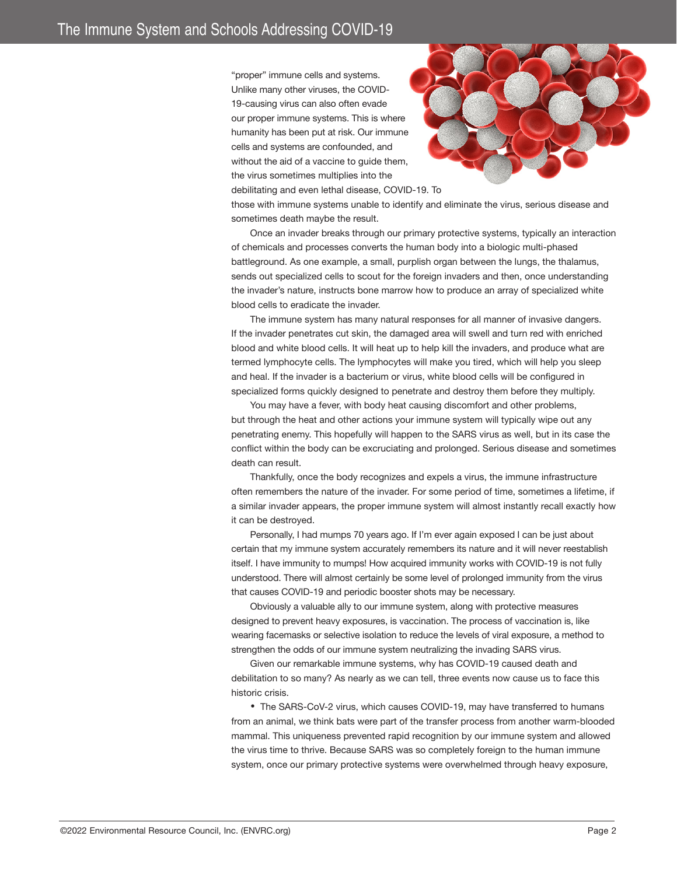"proper" immune cells and systems. Unlike many other viruses, the COVID-19-causing virus can also often evade our proper immune systems. This is where humanity has been put at risk. Our immune cells and systems are confounded, and without the aid of a vaccine to guide them, the virus sometimes multiplies into the debilitating and even lethal disease, COVID-19. To



those with immune systems unable to identify and eliminate the virus, serious disease and sometimes death maybe the result.

Once an invader breaks through our primary protective systems, typically an interaction of chemicals and processes converts the human body into a biologic multi-phased battleground. As one example, a small, purplish organ between the lungs, the thalamus, sends out specialized cells to scout for the foreign invaders and then, once understanding the invader's nature, instructs bone marrow how to produce an array of specialized white blood cells to eradicate the invader.

The immune system has many natural responses for all manner of invasive dangers. If the invader penetrates cut skin, the damaged area will swell and turn red with enriched blood and white blood cells. It will heat up to help kill the invaders, and produce what are termed lymphocyte cells. The lymphocytes will make you tired, which will help you sleep and heal. If the invader is a bacterium or virus, white blood cells will be configured in specialized forms quickly designed to penetrate and destroy them before they multiply.

You may have a fever, with body heat causing discomfort and other problems, but through the heat and other actions your immune system will typically wipe out any penetrating enemy. This hopefully will happen to the SARS virus as well, but in its case the conflict within the body can be excruciating and prolonged. Serious disease and sometimes death can result.

Thankfully, once the body recognizes and expels a virus, the immune infrastructure often remembers the nature of the invader. For some period of time, sometimes a lifetime, if a similar invader appears, the proper immune system will almost instantly recall exactly how it can be destroyed.

Personally, I had mumps 70 years ago. If I'm ever again exposed I can be just about certain that my immune system accurately remembers its nature and it will never reestablish itself. I have immunity to mumps! How acquired immunity works with COVID-19 is not fully understood. There will almost certainly be some level of prolonged immunity from the virus that causes COVID-19 and periodic booster shots may be necessary.

Obviously a valuable ally to our immune system, along with protective measures designed to prevent heavy exposures, is vaccination. The process of vaccination is, like wearing facemasks or selective isolation to reduce the levels of viral exposure, a method to strengthen the odds of our immune system neutralizing the invading SARS virus.

Given our remarkable immune systems, why has COVID-19 caused death and debilitation to so many? As nearly as we can tell, three events now cause us to face this historic crisis.

• The SARS-CoV-2 virus, which causes COVID-19, may have transferred to humans from an animal, we think bats were part of the transfer process from another warm-blooded mammal. This uniqueness prevented rapid recognition by our immune system and allowed the virus time to thrive. Because SARS was so completely foreign to the human immune system, once our primary protective systems were overwhelmed through heavy exposure,